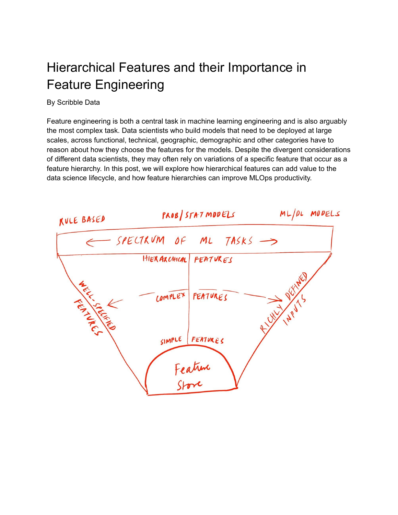# Hierarchical Features and their Importance in Feature Engineering

By Scribble Data

Feature engineering is both a central task in machine learning engineering and is also arguably the most complex task. Data scientists who build models that need to be deployed at large scales, across functional, technical, geographic, demographic and other categories have to reason about how they choose the features for the models. Despite the divergent considerations of different data scientists, they may often rely on variations of a specific feature that occur as a feature hierarchy. In this post, we will explore how hierarchical features can add value to the data science lifecycle, and how feature hierarchies can improve MLOps productivity.

| KULE BASED                      | PROB/STATMOOELS                        |         |                  |  | ML/PL MODELS |               |  |
|---------------------------------|----------------------------------------|---------|------------------|--|--------------|---------------|--|
|                                 | $-$ SPECTRUM OF ML TASKS $\rightarrow$ |         |                  |  |              |               |  |
|                                 | HIERARCHICAL PEATURES                  |         |                  |  |              |               |  |
|                                 |                                        |         |                  |  |              | <b>INALLY</b> |  |
| <b>ARTISTS IN THE COMMUNITY</b> |                                        | COMPLEX | FEATURES         |  |              |               |  |
|                                 |                                        |         |                  |  | Ellist 19975 |               |  |
|                                 |                                        | SIMPLE  | FEATURES         |  |              |               |  |
|                                 |                                        |         |                  |  |              |               |  |
|                                 |                                        |         | Feature<br>Store |  |              |               |  |
|                                 |                                        |         |                  |  |              |               |  |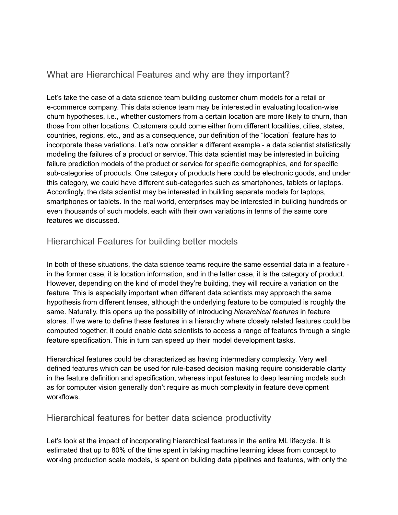### What are Hierarchical Features and why are they important?

Let's take the case of a data science team building customer churn models for a retail or e-commerce company. This data science team may be interested in evaluating location-wise churn hypotheses, i.e., whether customers from a certain location are more likely to churn, than those from other locations. Customers could come either from different localities, cities, states, countries, regions, etc., and as a consequence, our definition of the "location" feature has to incorporate these variations. Let's now consider a different example - a data scientist statistically modeling the failures of a product or service. This data scientist may be interested in building failure prediction models of the product or service for specific demographics, and for specific sub-categories of products. One category of products here could be electronic goods, and under this category, we could have different sub-categories such as smartphones, tablets or laptops. Accordingly, the data scientist may be interested in building separate models for laptops, smartphones or tablets. In the real world, enterprises may be interested in building hundreds or even thousands of such models, each with their own variations in terms of the same core features we discussed.

#### Hierarchical Features for building better models

In both of these situations, the data science teams require the same essential data in a feature in the former case, it is location information, and in the latter case, it is the category of product. However, depending on the kind of model they're building, they will require a variation on the feature. This is especially important when different data scientists may approach the same hypothesis from different lenses, although the underlying feature to be computed is roughly the same. Naturally, this opens up the possibility of introducing *hierarchical features* in feature stores. If we were to define these features in a hierarchy where closely related features could be computed together, it could enable data scientists to access a range of features through a single feature specification. This in turn can speed up their model development tasks.

Hierarchical features could be characterized as having intermediary complexity. Very well defined features which can be used for rule-based decision making require considerable clarity in the feature definition and specification, whereas input features to deep learning models such as for computer vision generally don't require as much complexity in feature development workflows.

#### Hierarchical features for better data science productivity

Let's look at the impact of incorporating hierarchical features in the entire ML lifecycle. It is estimated that up to 80% of the time spent in taking machine learning ideas from concept to working production scale models, is spent on building data pipelines and features, with only the